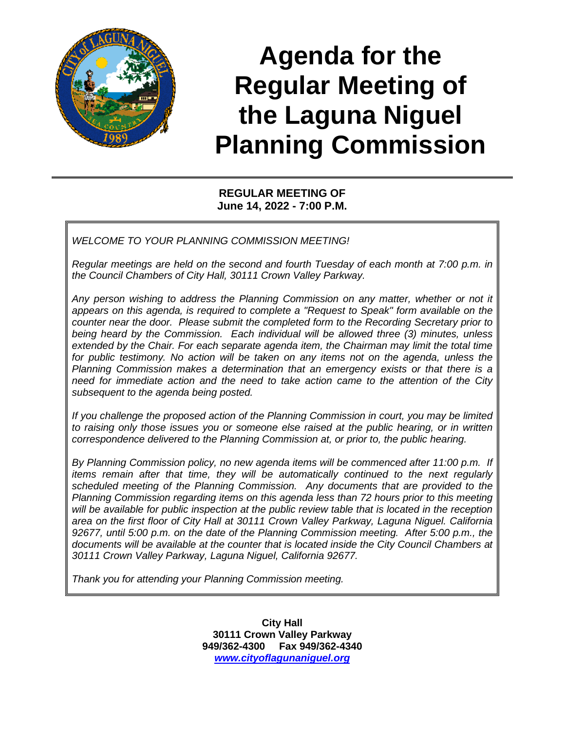

# **Agenda for the Regular Meeting of the Laguna Niguel Planning Commission**

# **REGULAR MEETING OF June 14, 2022 - 7:00 P.M.**

*WELCOME TO YOUR PLANNING COMMISSION MEETING!*

*Regular meetings are held on the second and fourth Tuesday of each month at 7:00 p.m. in the Council Chambers of City Hall, 30111 Crown Valley Parkway.* 

*Any person wishing to address the Planning Commission on any matter, whether or not it appears on this agenda, is required to complete a "Request to Speak" form available on the counter near the door. Please submit the completed form to the Recording Secretary prior to being heard by the Commission. Each individual will be allowed three (3) minutes, unless*  extended by the Chair. For each separate agenda item, the Chairman may limit the total time *for public testimony. No action will be taken on any items not on the agenda, unless the Planning Commission makes a determination that an emergency exists or that there is a need for immediate action and the need to take action came to the attention of the City subsequent to the agenda being posted.*

*If you challenge the proposed action of the Planning Commission in court, you may be limited to raising only those issues you or someone else raised at the public hearing, or in written correspondence delivered to the Planning Commission at, or prior to, the public hearing.*

*By Planning Commission policy, no new agenda items will be commenced after 11:00 p.m. If items remain after that time, they will be automatically continued to the next regularly scheduled meeting of the Planning Commission. Any documents that are provided to the Planning Commission regarding items on this agenda less than 72 hours prior to this meeting will be available for public inspection at the public review table that is located in the reception area on the first floor of City Hall at 30111 Crown Valley Parkway, Laguna Niguel. California 92677, until 5:00 p.m. on the date of the Planning Commission meeting. After 5:00 p.m., the documents will be available at the counter that is located inside the City Council Chambers at 30111 Crown Valley Parkway, Laguna Niguel, California 92677.*

*Thank you for attending your Planning Commission meeting.*

**City Hall 30111 Crown Valley Parkway 949/362-4300 Fax 949/362-4340** *[www.cityoflagunaniguel.org](http://www.cityoflagunaniguel.org/)*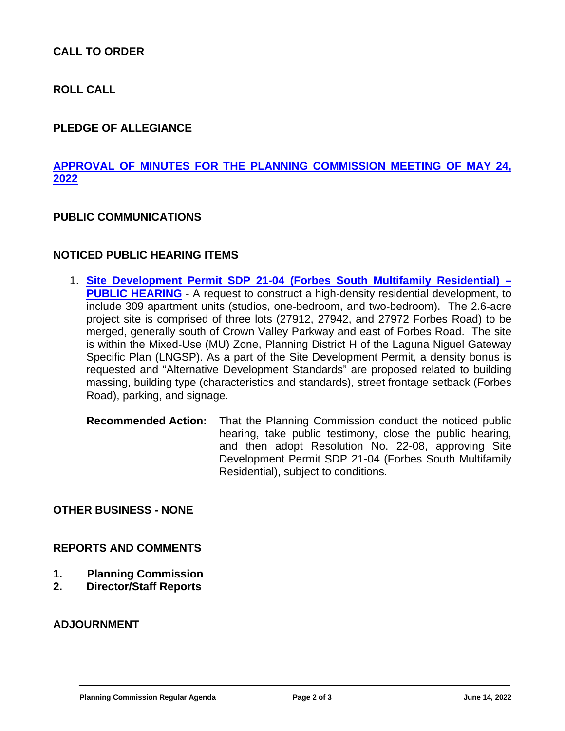# **CALL TO ORDER**

**ROLL CALL**

# **PLEDGE OF ALLEGIANCE**

# **[APPROVAL OF MINUTES FOR THE PLANNING COMMISSION MEETING OF MAY 24,](https://www.cityoflagunaniguel.org/DocumentCenter/View/22861/05-24-22-PC-Minutes---Draft)  [2022](https://www.cityoflagunaniguel.org/DocumentCenter/View/22861/05-24-22-PC-Minutes---Draft)**

#### **PUBLIC COMMUNICATIONS**

#### **NOTICED PUBLIC HEARING ITEMS**

- 1. **[Site Development Permit SDP 21-04 \(Forbes South Multifamily Residential\)](https://www.cityoflagunaniguel.org/DocumentCenter/View/22865/PC-Staff-Report---SDP-21-04-Forbes-South-Multifamily-Residential) – [PUBLIC HEARING](https://www.cityoflagunaniguel.org/DocumentCenter/View/22865/PC-Staff-Report---SDP-21-04-Forbes-South-Multifamily-Residential)** - A request to construct a high-density residential development, to include 309 apartment units (studios, one-bedroom, and two-bedroom). The 2.6-acre project site is comprised of three lots (27912, 27942, and 27972 Forbes Road) to be merged, generally south of Crown Valley Parkway and east of Forbes Road. The site is within the Mixed-Use (MU) Zone, Planning District H of the Laguna Niguel Gateway Specific Plan (LNGSP). As a part of the Site Development Permit, a density bonus is requested and "Alternative Development Standards" are proposed related to building massing, building type (characteristics and standards), street frontage setback (Forbes Road), parking, and signage.
	- **Recommended Action:** That the Planning Commission conduct the noticed public hearing, take public testimony, close the public hearing, and then adopt Resolution No. 22-08, approving Site Development Permit SDP 21-04 (Forbes South Multifamily Residential), subject to conditions.

**OTHER BUSINESS - NONE**

#### **REPORTS AND COMMENTS**

- **1. Planning Commission**
- **2. Director/Staff Reports**

#### **ADJOURNMENT**